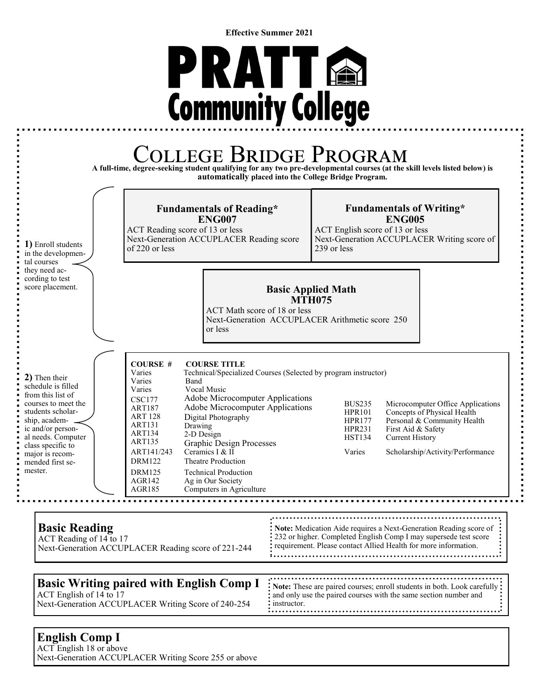**Effective Summer 2021**





## **English Comp I**

ACT English 18 or above Next-Generation ACCUPLACER Writing Score 255 or above